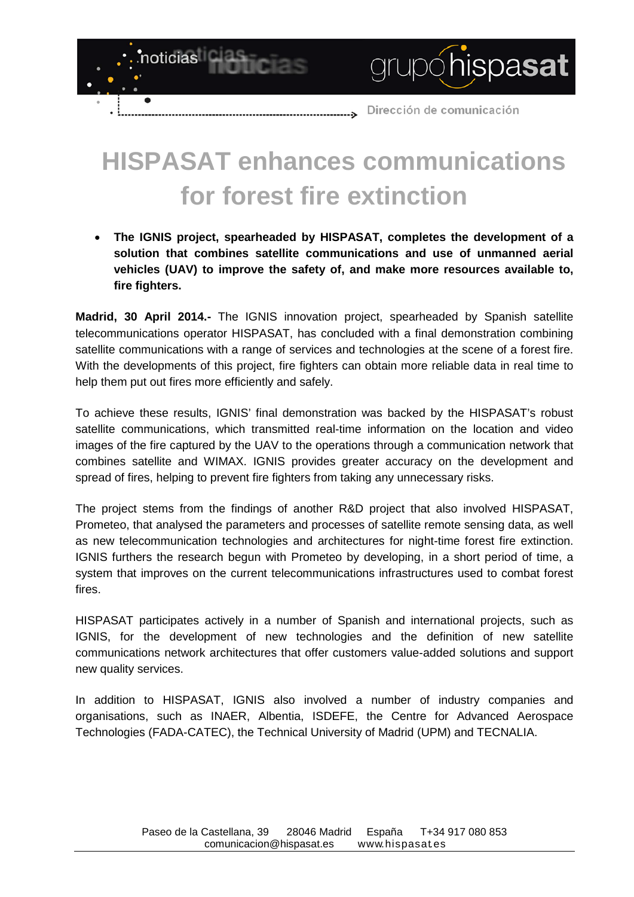Dirección de comunicación  $\rightarrow$ 

grupóhispasat

## **HISPASAT enhances communications for forest fire extinction**

noticias

 $\bullet$ 

• **The IGNIS project, spearheaded by HISPASAT, completes the development of a solution that combines satellite communications and use of unmanned aerial vehicles (UAV) to improve the safety of, and make more resources available to, fire fighters.**

**Madrid, 30 April 2014.-** The IGNIS innovation project, spearheaded by Spanish satellite telecommunications operator HISPASAT, has concluded with a final demonstration combining satellite communications with a range of services and technologies at the scene of a forest fire. With the developments of this project, fire fighters can obtain more reliable data in real time to help them put out fires more efficiently and safely.

To achieve these results, IGNIS' final demonstration was backed by the HISPASAT's robust satellite communications, which transmitted real-time information on the location and video images of the fire captured by the UAV to the operations through a communication network that combines satellite and WIMAX. IGNIS provides greater accuracy on the development and spread of fires, helping to prevent fire fighters from taking any unnecessary risks.

The project stems from the findings of another R&D project that also involved HISPASAT, Prometeo, that analysed the parameters and processes of satellite remote sensing data, as well as new telecommunication technologies and architectures for night-time forest fire extinction. IGNIS furthers the research begun with Prometeo by developing, in a short period of time, a system that improves on the current telecommunications infrastructures used to combat forest fires.

HISPASAT participates actively in a number of Spanish and international projects, such as IGNIS, for the development of new technologies and the definition of new satellite communications network architectures that offer customers value-added solutions and support new quality services.

In addition to HISPASAT, IGNIS also involved a number of industry companies and organisations, such as INAER, Albentia, ISDEFE, the Centre for Advanced Aerospace Technologies (FADA-CATEC), the Technical University of Madrid (UPM) and TECNALIA.